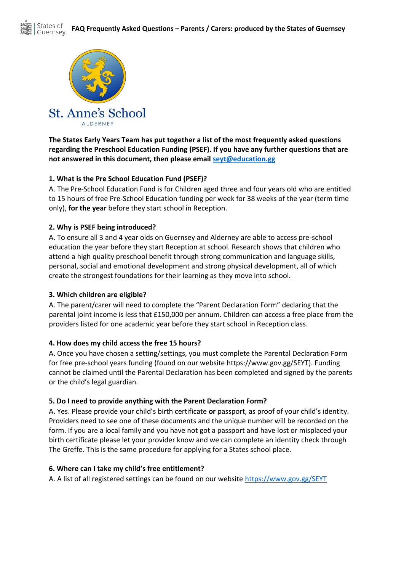

**The States Early Years Team has put together a list of the most frequently asked questions regarding the Preschool Education Funding (PSEF). If you have any further questions that are not answered in this document, then please email [seyt@education.gg](mailto:seyt@education.gg)**

# **1. What is the Pre School Education Fund (PSEF)?**

A. The Pre-School Education Fund is for Children aged three and four years old who are entitled to 15 hours of free Pre-School Education funding per week for 38 weeks of the year (term time only), **for the year** before they start school in Reception.

# **2. Why is PSEF being introduced?**

A. To ensure all 3 and 4 year olds on Guernsey and Alderney are able to access pre-school education the year before they start Reception at school. Research shows that children who attend a high quality preschool benefit through strong communication and language skills, personal, social and emotional development and strong physical development, all of which create the strongest foundations for their learning as they move into school.

## **3. Which children are eligible?**

A. The parent/carer will need to complete the "Parent Declaration Form" declaring that the parental joint income is less that £150,000 per annum. Children can access a free place from the providers listed for one academic year before they start school in Reception class.

## **4. How does my child access the free 15 hours?**

A. Once you have chosen a setting/settings, you must complete the Parental Declaration Form for free pre-school years funding (found on our website https://www.gov.gg/SEYT). Funding cannot be claimed until the Parental Declaration has been completed and signed by the parents or the child's legal guardian.

## **5. Do I need to provide anything with the Parent Declaration Form?**

A. Yes. Please provide your child's birth certificate **or** passport, as proof of your child's identity. Providers need to see one of these documents and the unique number will be recorded on the form. If you are a local family and you have not got a passport and have lost or misplaced your birth certificate please let your provider know and we can complete an identity check through The Greffe. This is the same procedure for applying for a States school place.

## **6. Where can I take my child's free entitlement?**

A. A list of all registered settings can be found on our website<https://www.gov.gg/SEYT>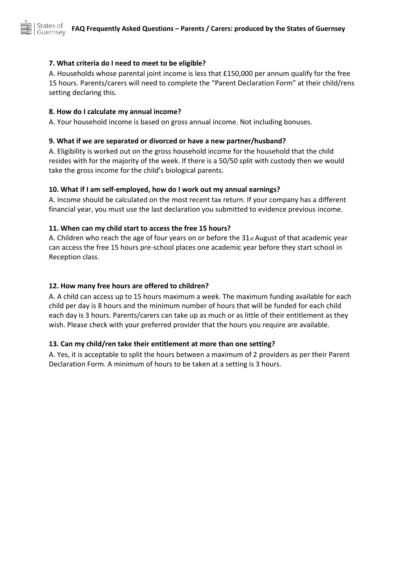## **7. What criteria do I need to meet to be eligible?**

A. Households whose parental joint income is less that £150,000 per annum qualify for the free 15 hours. Parents/carers will need to complete the "Parent Declaration Form" at their child/rens setting declaring this.

## **8. How do I calculate my annual income?**

A. Your household income is based on gross annual income. Not including bonuses.

#### **9. What if we are separated or divorced or have a new partner/husband?**

A. Eligibility is worked out on the gross household income for the household that the child resides with for the majority of the week. If there is a 50/50 split with custody then we would take the gross income for the child's biological parents.

## **10. What if I am self-employed, how do I work out my annual earnings?**

A. Income should be calculated on the most recent tax return. If your company has a different financial year, you must use the last declaration you submitted to evidence previous income.

## **11. When can my child start to access the free 15 hours?**

A. Children who reach the age of four years on or before the 31st August of that academic year can access the free 15 hours pre-school places one academic year before they start school in Reception class.

## **12. How many free hours are offered to children?**

A. A child can access up to 15 hours maximum a week. The maximum funding available for each child per day is 8 hours and the minimum number of hours that will be funded for each child each day is 3 hours. Parents/carers can take up as much or as little of their entitlement as they wish. Please check with your preferred provider that the hours you require are available.

## **13. Can my child/ren take their entitlement at more than one setting?**

A. Yes, it is acceptable to split the hours between a maximum of 2 providers as per their Parent Declaration Form. A minimum of hours to be taken at a setting is 3 hours.